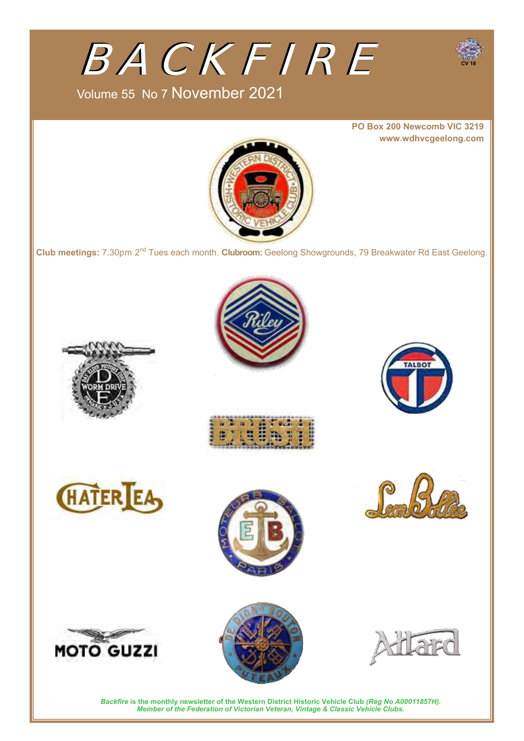

### Volume 55 No 7 November 2021

**PO Box 200 Newcomb VIC 3219 www.wdhvcgeelong.com**

**CV 18** 



**Club meetings:** 7.30pm 2nd Tues each month. **Clubroom:** Geelong Showgrounds, 79 Breakwater Rd East Geelong.

















*Backfire* **is the monthly newsletter of the Western District Historic Vehicle Club** *(Reg No A00011857H). Member of the Federation of Victorian Veteran, Vintage & Classic Vehicle Clubs.*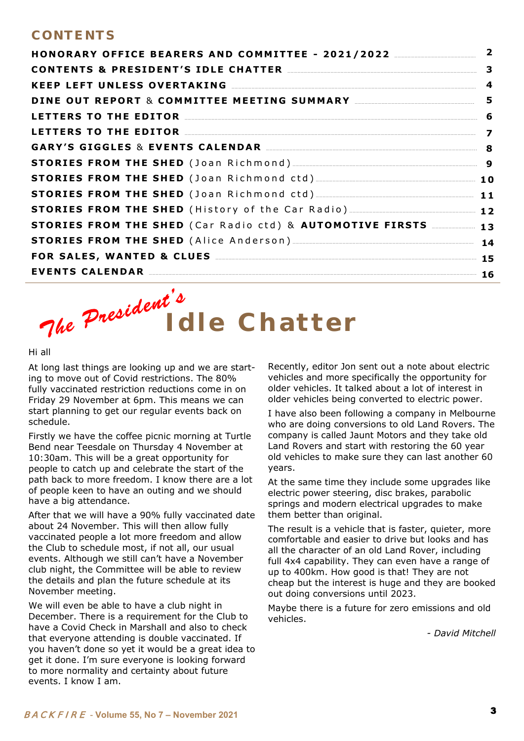### **CO N T E N T S**

| HONORARY OFFICE BEARERS AND COMMITTEE - 2021/2022 ________________<br>KEEP LEFT UNLESS OVERTAKING MARKET AND THE RESERVE AND THE RESERVE AND THE RESERVE AND THE RESERVE AND THE RESERVE AND THE RESERVE AND THE RESERVE AND THE RESERVE AND THE RESERVE AND THE RESERVE AND THE RESERVE AND THE RES |  |  |  |  |  |                                                                 |  |
|------------------------------------------------------------------------------------------------------------------------------------------------------------------------------------------------------------------------------------------------------------------------------------------------------|--|--|--|--|--|-----------------------------------------------------------------|--|
|                                                                                                                                                                                                                                                                                                      |  |  |  |  |  | DINE OUT REPORT & COMMITTEE MEETING SUMMARY MANARY MANAGEMANA S |  |
|                                                                                                                                                                                                                                                                                                      |  |  |  |  |  | LETTERS TO THE EDITOR MANUSCRIPTION CONTROLLER TO THE EDITOR    |  |
| LETTERS TO THE EDITOR <u>Container and the set of the set of the set of the set of the set of the set of the set o</u>                                                                                                                                                                               |  |  |  |  |  |                                                                 |  |
| GARY'S GIGGLES & EVENTS CALENDAR MARKET AND RESERVISE AND RESERVISE AND RESERVISE AND RESERVISE AND RESERVISE AND RESERVISE AND RESERVISE AND RESERVISE AND RESERVISE AND RESERVISE AND RESERVISE AND RESERVISE AND RESERVISE                                                                        |  |  |  |  |  |                                                                 |  |
|                                                                                                                                                                                                                                                                                                      |  |  |  |  |  |                                                                 |  |
|                                                                                                                                                                                                                                                                                                      |  |  |  |  |  |                                                                 |  |
|                                                                                                                                                                                                                                                                                                      |  |  |  |  |  |                                                                 |  |
| <b>STORIES FROM THE SHED</b> (History of the Car Radio) _______________________________ 12                                                                                                                                                                                                           |  |  |  |  |  |                                                                 |  |
| STORIES FROM THE SHED (Car Radio ctd) & AUTOMOTIVE FIRSTS <b>13</b>                                                                                                                                                                                                                                  |  |  |  |  |  |                                                                 |  |
|                                                                                                                                                                                                                                                                                                      |  |  |  |  |  |                                                                 |  |
|                                                                                                                                                                                                                                                                                                      |  |  |  |  |  |                                                                 |  |
| EVENTS CALENDAR 16                                                                                                                                                                                                                                                                                   |  |  |  |  |  |                                                                 |  |

# The President " I d l e Chatter

#### Hi all

At long last things are looking up and we are starting to move out of Covid restrictions. The 80% fully vaccinated restriction reductions come in on Friday 29 November at 6pm. This means we can start planning to get our regular events back on schedule.

Firstly we have the coffee picnic morning at Turtle Bend near Teesdale on Thursday 4 November at 10:30am. This will be a great opportunity for people to catch up and celebrate the start of the path back to more freedom. I know there are a lot of people keen to have an outing and we should have a big attendance.

After that we will have a 90% fully vaccinated date about 24 November. This will then allow fully vaccinated people a lot more freedom and allow the Club to schedule most, if not all, our usual events. Although we still can't have a November club night, the Committee will be able to review the details and plan the future schedule at its November meeting.

We will even be able to have a club night in December. There is a requirement for the Club to have a Covid Check in Marshall and also to check that everyone attending is double vaccinated. If you haven't done so yet it would be a great idea to get it done. I'm sure everyone is looking forward to more normality and certainty about future events. I know I am.

Recently, editor Jon sent out a note about electric vehicles and more specifically the opportunity for older vehicles. It talked about a lot of interest in older vehicles being converted to electric power.

I have also been following a company in Melbourne who are doing conversions to old Land Rovers. The company is called Jaunt Motors and they take old Land Rovers and start with restoring the 60 year old vehicles to make sure they can last another 60 years.

At the same time they include some upgrades like electric power steering, disc brakes, parabolic springs and modern electrical upgrades to make them better than original.

The result is a vehicle that is faster, quieter, more comfortable and easier to drive but looks and has all the character of an old Land Rover, including full 4x4 capability. They can even have a range of up to 400km. How good is that! They are not cheap but the interest is huge and they are booked out doing conversions until 2023.

Maybe there is a future for zero emissions and old vehicles.

*- David Mitchell*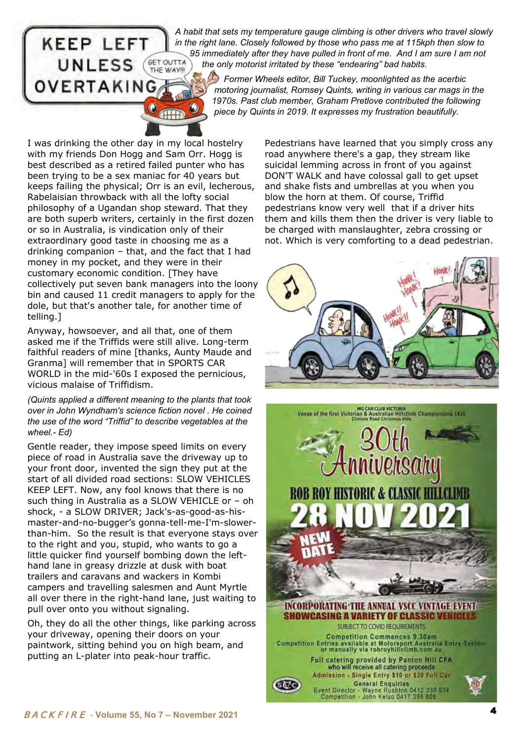# **KEEP LEFT UNLESS** VERTAKING

*A habit that sets my temperature gauge climbing is other drivers who travel slowly in the right lane. Closely followed by those who pass me at 115kph then slow to*  95 immediately after they have pulled in front of me. And I am sure I am not **GET OUTTA** the only motorist irritated by these "endearing" bad habits.  *the only motorist irritated by these "endearing" bad habits.* 

 *Former Wheels editor, Bill Tuckey, moonlighted as the acerbic motoring journalist, Romsey Quints, writing in various car mags in the 1970s. Past club member, Graham Pretlove contributed the following piece by Quints in 2019. It expresses my frustration beautifully.*

I was drinking the other day in my local hostelry with my friends Don Hogg and Sam Orr. Hogg is best described as a retired failed punter who has been trying to be a sex maniac for 40 years but keeps failing the physical; Orr is an evil, lecherous, Rabelaisian throwback with all the lofty social philosophy of a Ugandan shop steward. That they are both superb writers, certainly in the first dozen or so in Australia, is vindication only of their extraordinary good taste in choosing me as a drinking companion – that, and the fact that I had money in my pocket, and they were in their customary economic condition. [They have collectively put seven bank managers into the loony bin and caused 11 credit managers to apply for the dole, but that's another tale, for another time of telling.]

Anyway, howsoever, and all that, one of them asked me if the Triffids were still alive. Long-term faithful readers of mine [thanks, Aunty Maude and Granma] will remember that in SPORTS CAR WORLD in the mid-'60s I exposed the pernicious, vicious malaise of Triffidism.

*(Quints applied a different meaning to the plants that took over in John Wyndham's science fiction novel . He coined the use of the word "Triffid" to describe vegetables at the wheel.- Ed)*

Gentle reader, they impose speed limits on every piece of road in Australia save the driveway up to your front door, invented the sign they put at the start of all divided road sections: SLOW VEHICLES KEEP LEFT. Now, any fool knows that there is no such thing in Australia as a SLOW VEHICLE or – oh shock, - a SLOW DRIVER; Jack's-as-good-as-hismaster-and-no-bugger's gonna-tell-me-I'm-slowerthan-him. So the result is that everyone stays over to the right and you, stupid, who wants to go a little quicker find yourself bombing down the lefthand lane in greasy drizzle at dusk with boat trailers and caravans and wackers in Kombi campers and travelling salesmen and Aunt Myrtle all over there in the right-hand lane, just waiting to pull over onto you without signaling.

Oh, they do all the other things, like parking across your driveway, opening their doors on your paintwork, sitting behind you on high beam, and putting an L-plater into peak-hour traffic.

Pedestrians have learned that you simply cross any road anywhere there's a gap, they stream like suicidal lemming across in front of you against DON'T WALK and have colossal gall to get upset and shake fists and umbrellas at you when you blow the horn at them. Of course, Triffid pedestrians know very well that if a driver hits them and kills them then the driver is very liable to be charged with manslaughter, zebra crossing or not. Which is very comforting to a dead pedestrian.



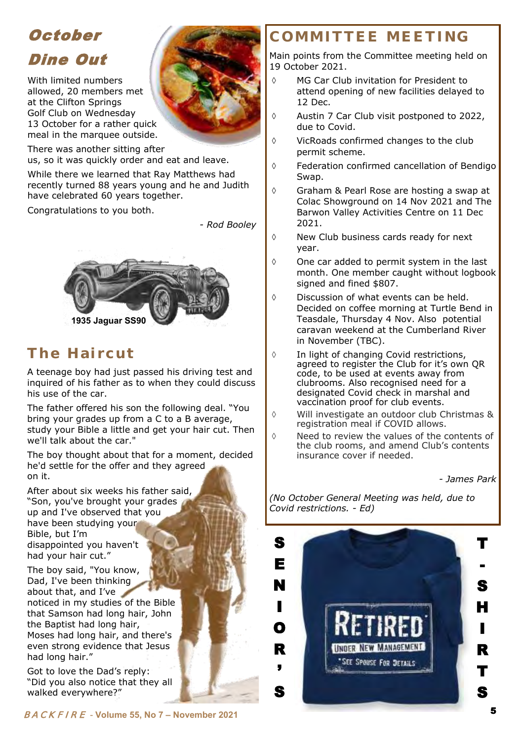### **October** Dine Out

With limited numbers allowed, 20 members met at the Clifton Springs Golf Club on Wednesday 13 October for a rather quick meal in the marquee outside.

There was another sitting after us, so it was quickly order and eat and leave.

While there we learned that Ray Matthews had recently turned 88 years young and he and Judith have celebrated 60 years together.

Congratulations to you both.

*- Rod Booley* 



### **Th e H a i r cu t**

A teenage boy had just passed his driving test and inquired of his father as to when they could discuss his use of the car.

The father offered his son the following deal. "You bring your grades up from a C to a B average, study your Bible a little and get your hair cut. Then we'll talk about the car."

The boy thought about that for a moment, decided he'd settle for the offer and they agreed on it.

After about six weeks his father said, "Son, you've brought your grades up and I've observed that you have been studying your Bible, but I'm disappointed you haven't had your hair cut."

The boy said, "You know, Dad, I've been thinking about that, and I've noticed in my studies of the Bible that Samson had long hair, John the Baptist had long hair, Moses had long hair, and there's even strong evidence that Jesus had long hair."

Got to love the Dad's reply: "Did you also notice that they all walked everywhere?"

 MG Car Club invitation for President to attend opening of new facilities delayed to 12 Dec.

**COMM I T T E E M E E T I N G** 

- $\Diamond$  Austin 7 Car Club visit postponed to 2022, due to Covid.
- $\Diamond$  VicRoads confirmed changes to the club permit scheme.
- Federation confirmed cancellation of Bendigo Swap.
- Graham & Pearl Rose are hosting a swap at Colac Showground on 14 Nov 2021 and The Barwon Valley Activities Centre on 11 Dec 2021.
- $\Diamond$  New Club business cards ready for next year.
- $\Diamond$  One car added to permit system in the last month. One member caught without logbook signed and fined \$807.
- Discussion of what events can be held. Decided on coffee morning at Turtle Bend in Teasdale, Thursday 4 Nov. Also potential caravan weekend at the Cumberland River in November (TBC).
- $\Diamond$  In light of changing Covid restrictions, agreed to register the Club for it's own QR code, to be used at events away from clubrooms. Also recognised need for a designated Covid check in marshal and vaccination proof for club events.
- Will investigate an outdoor club Christmas & registration meal if COVID allows.
- $\Diamond$  Need to review the values of the contents of the club rooms, and amend Club's contents insurance cover if needed.

 *- James Park* 

*(No October General Meeting was held, due to Covid restrictions. - Ed)*

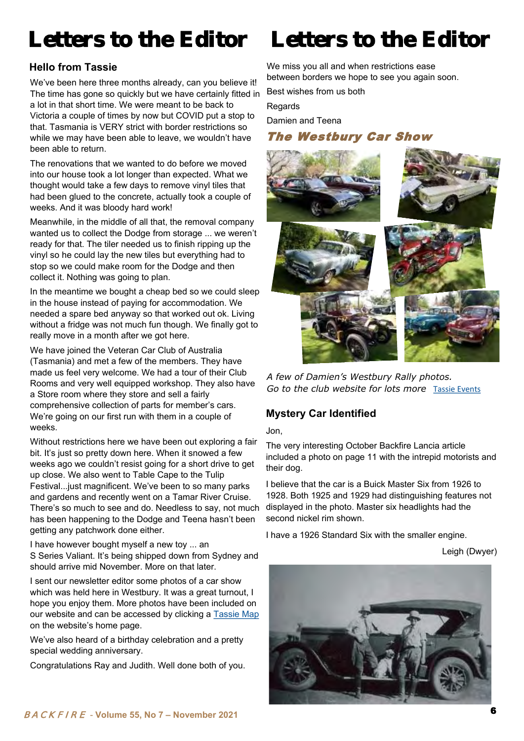### **Hello from Tassie**

We've been here three months already, can you believe it! The time has gone so quickly but we have certainly fitted in a lot in that short time. We were meant to be back to Victoria a couple of times by now but COVID put a stop to that. Tasmania is VERY strict with border restrictions so while we may have been able to leave, we wouldn't have been able to return.

The renovations that we wanted to do before we moved into our house took a lot longer than expected. What we thought would take a few days to remove vinyl tiles that had been glued to the concrete, actually took a couple of weeks. And it was bloody hard work!

Meanwhile, in the middle of all that, the removal company wanted us to collect the Dodge from storage ... we weren't ready for that. The tiler needed us to finish ripping up the vinyl so he could lay the new tiles but everything had to stop so we could make room for the Dodge and then collect it. Nothing was going to plan.

In the meantime we bought a cheap bed so we could sleep in the house instead of paying for accommodation. We needed a spare bed anyway so that worked out ok. Living without a fridge was not much fun though. We finally got to really move in a month after we got here.

We have joined the Veteran Car Club of Australia (Tasmania) and met a few of the members. They have made us feel very welcome. We had a tour of their Club Rooms and very well equipped workshop. They also have a Store room where they store and sell a fairly comprehensive collection of parts for member's cars. We're going on our first run with them in a couple of weeks.

Without restrictions here we have been out exploring a fair bit. It's just so pretty down here. When it snowed a few weeks ago we couldn't resist going for a short drive to get up close. We also went to Table Cape to the Tulip Festival...just magnificent. We've been to so many parks and gardens and recently went on a Tamar River Cruise. There's so much to see and do. Needless to say, not much has been happening to the Dodge and Teena hasn't been getting any patchwork done either.

I have however bought myself a new toy ... an S Series Valiant. It's being shipped down from Sydney and should arrive mid November. More on that later.

I sent our newsletter editor some photos of a car show which was held here in Westbury. It was a great turnout, I hope you enjoy them. More photos have been included on our website and can be accessed by clicking a [Tassie Map](http://www.wdhvcgeelong.com/Tassie.html) on the website's home page.

We've also heard of a birthday celebration and a pretty special wedding anniversary.

Congratulations Ray and Judith. Well done both of you.

## Letters to the Editor Letters to the Editor

We miss you all and when restrictions ease between borders we hope to see you again soon.

Best wishes from us both

**Regards** 

Damien and Teena

### The Westbury Car Show



*A few of Damien's Westbury Rally photos. Go to the club website for lots more* [Tassie Events](http://www.wdhvcgeelong.com/Tassie.html)

### **Mystery Car Identified**

#### Jon,

The very interesting October Backfire Lancia article included a photo on page 11 with the intrepid motorists and their dog.

I believe that the car is a Buick Master Six from 1926 to 1928. Both 1925 and 1929 had distinguishing features not displayed in the photo. Master six headlights had the second nickel rim shown.

I have a 1926 Standard Six with the smaller engine.

Leigh (Dwyer)

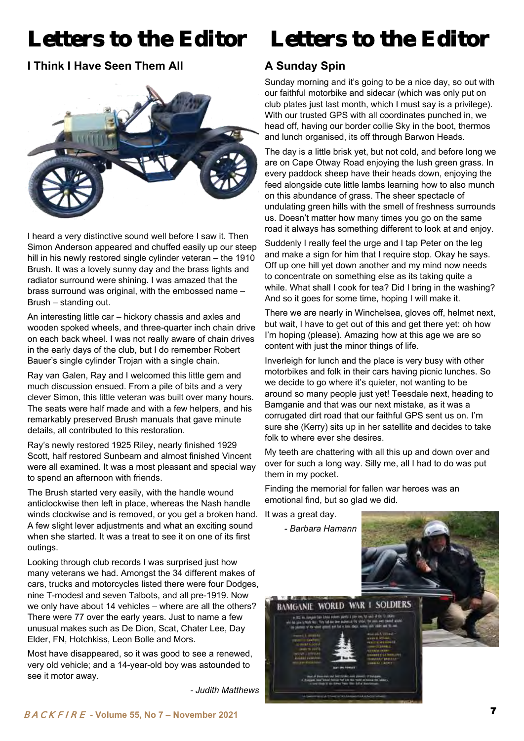### **I Think I Have Seen Them All**



I heard a very distinctive sound well before I saw it. Then Simon Anderson appeared and chuffed easily up our steep hill in his newly restored single cylinder veteran – the 1910 Brush. It was a lovely sunny day and the brass lights and radiator surround were shining. I was amazed that the brass surround was original, with the embossed name – Brush – standing out.

An interesting little car – hickory chassis and axles and wooden spoked wheels, and three-quarter inch chain drive on each back wheel. I was not really aware of chain drives in the early days of the club, but I do remember Robert Bauer's single cylinder Trojan with a single chain.

Ray van Galen, Ray and I welcomed this little gem and much discussion ensued. From a pile of bits and a very clever Simon, this little veteran was built over many hours. The seats were half made and with a few helpers, and his remarkably preserved Brush manuals that gave minute details, all contributed to this restoration.

Ray's newly restored 1925 Riley, nearly finished 1929 Scott, half restored Sunbeam and almost finished Vincent were all examined. It was a most pleasant and special way to spend an afternoon with friends.

The Brush started very easily, with the handle wound anticlockwise then left in place, whereas the Nash handle winds clockwise and is removed, or you get a broken hand. A few slight lever adjustments and what an exciting sound when she started. It was a treat to see it on one of its first outings.

Looking through club records I was surprised just how many veterans we had. Amongst the 34 different makes of cars, trucks and motorcycles listed there were four Dodges, nine T-modesl and seven Talbots, and all pre-1919. Now we only have about 14 vehicles – where are all the others? There were 77 over the early years. Just to name a few unusual makes such as De Dion, Scat, Chater Lee, Day Elder, FN, Hotchkiss, Leon Bolle and Mors.

Most have disappeared, so it was good to see a renewed, very old vehicle; and a 14-year-old boy was astounded to see it motor away.

*- Judith Matthews* 

### Letters to the Editor Letters to the Editor

### **A Sunday Spin**

Sunday morning and it's going to be a nice day, so out with our faithful motorbike and sidecar (which was only put on club plates just last month, which I must say is a privilege). With our trusted GPS with all coordinates punched in, we head off, having our border collie Sky in the boot, thermos and lunch organised, its off through Barwon Heads.

The day is a little brisk yet, but not cold, and before long we are on Cape Otway Road enjoying the lush green grass. In every paddock sheep have their heads down, enjoying the feed alongside cute little lambs learning how to also munch on this abundance of grass. The sheer spectacle of undulating green hills with the smell of freshness surrounds us. Doesn't matter how many times you go on the same road it always has something different to look at and enjoy.

Suddenly I really feel the urge and I tap Peter on the leg and make a sign for him that I require stop. Okay he says. Off up one hill yet down another and my mind now needs to concentrate on something else as its taking quite a while. What shall I cook for tea? Did I bring in the washing? And so it goes for some time, hoping I will make it.

There we are nearly in Winchelsea, gloves off, helmet next, but wait, I have to get out of this and get there yet: oh how I'm hoping (please). Amazing how at this age we are so content with just the minor things of life.

Inverleigh for lunch and the place is very busy with other motorbikes and folk in their cars having picnic lunches. So we decide to go where it's quieter, not wanting to be around so many people just yet! Teesdale next, heading to Bamganie and that was our next mistake, as it was a corrugated dirt road that our faithful GPS sent us on. I'm sure she (Kerry) sits up in her satellite and decides to take folk to where ever she desires.

My teeth are chattering with all this up and down over and over for such a long way. Silly me, all I had to do was put them in my pocket.

Finding the memorial for fallen war heroes was an emotional find, but so glad we did.

It was a great day.

 *- Barbara Hamann* 

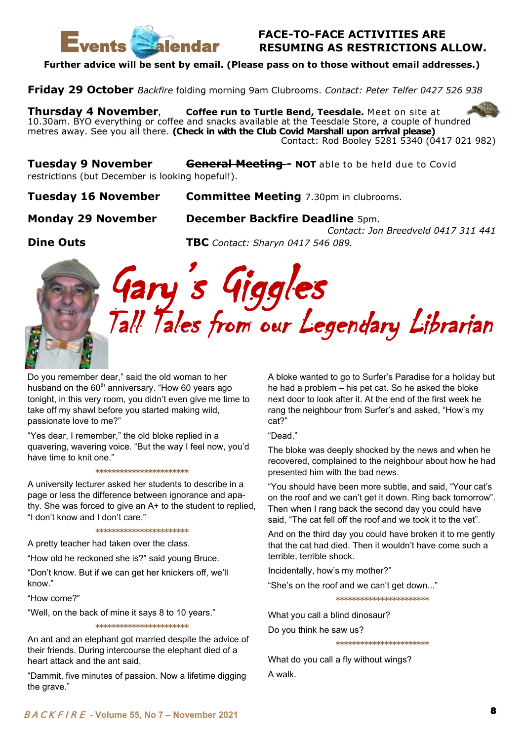

### **FACE-TO-FACE ACTIVITIES ARE RESUMING AS RESTRICTIONS ALLOW.**

**Further advice will be sent by email. (Please pass on to those without email addresses.)** 

**Friday 29 October** *Backfire* folding morning 9am Clubrooms. *Contact: Peter Telfer 0427 526 938*

**Thursday 4 November, Coffee run to Turtle Bend, Teesdale.** Meet on site at 10.30am. BYO everything or coffee and snacks available at the Teesdale Store, a couple of hundred metres away. See you all there. **(Check in with the Club Covid Marshall upon arrival please)** Contact: Rod Booley 5281 5340 (0417 021 982)

Tuesday 9 November **General Meeting-- NOT** able to be held due to Covid restrictions (but December is looking hopeful!).

**Tuesday 16 November Committee Meeting** 7.30pm in clubrooms.

### **Monday 29 November December Backfire Deadline** 5pm*.*

 *Contact: Jon Breedveld 0417 311 441*  **Dine Outs TBC** *Contact: Sharyn 0417 546 089.*



Gary's Giggles Tall Tales from our Legendary Librarian

Do you remember dear," said the old woman to her husband on the  $60<sup>th</sup>$  anniversary. "How 60 years ago tonight, in this very room, you didn't even give me time to take off my shawl before you started making wild, passionate love to me?"

"Yes dear, I remember," the old bloke replied in a quavering, wavering voice. "But the way I feel now, you'd have time to knit one."

**\*\*\*\*\*\*\*\*\*\*\*\*\*\*\*\*\*\*\*\*\*\*\*** 

A university lecturer asked her students to describe in a page or less the difference between ignorance and apathy. She was forced to give an A+ to the student to replied, "I don't know and I don't care."

**\*\*\*\*\*\*\*\*\*\*\*\*\*\*\*\*\*\*\*\*\*\*\*** 

A pretty teacher had taken over the class.

"How old he reckoned she is?" said young Bruce.

"Don't know. But if we can get her knickers off, we'll know."

"How come?"

"Well, on the back of mine it says 8 to 10 years."

**\*\*\*\*\*\*\*\*\*\*\*\*\*\*\*\*\*\*\*\*\*\*\*** 

An ant and an elephant got married despite the advice of their friends. During intercourse the elephant died of a heart attack and the ant said,

"Dammit, five minutes of passion. Now a lifetime digging the grave."

A bloke wanted to go to Surfer's Paradise for a holiday but he had a problem – his pet cat. So he asked the bloke next door to look after it. At the end of the first week he rang the neighbour from Surfer's and asked, "How's my cat?"

"Dead."

The bloke was deeply shocked by the news and when he recovered, complained to the neighbour about how he had presented him with the bad news.

"You should have been more subtle, and said, "Your cat's on the roof and we can't get it down. Ring back tomorrow". Then when I rang back the second day you could have said, "The cat fell off the roof and we took it to the vet".

And on the third day you could have broken it to me gently that the cat had died. Then it wouldn't have come such a terrible, terrible shock.

**\*\*\*\*\*\*\*\*\*\*\*\*\*\*\*\*\*\*\*\*\*\*\*** 

Incidentally, how's my mother?"

"She's on the roof and we can't get down..."

**\*\*\*\*\*\*\*\*\*\*\*\*\*\*\*\*\*\*\*\*\*\*\*** 

What you call a blind dinosaur? Do you think he saw us?

What do you call a fly without wings? A walk.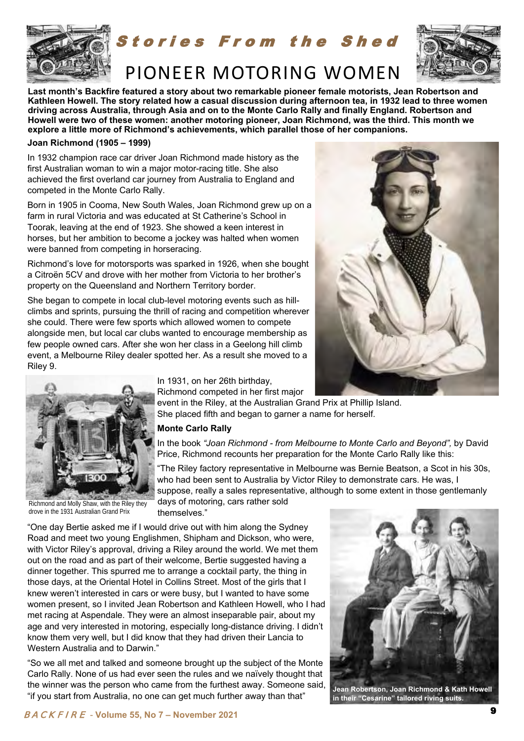

tories From the Shed



### PIONEER MOTORING WOMEN

**Last month's Backfire featured a story about two remarkable pioneer female motorists, Jean Robertson and Kathleen Howell. The story related how a casual discussion during afternoon tea, in 1932 lead to three women driving across Australia, through Asia and on to the Monte Carlo Rally and finally England. Robertson and Howell were two of these women: another motoring pioneer, Joan Richmond, was the third. This month we explore a little more of Richmond's achievements, which parallel those of her companions.** 

#### **Joan Richmond (1905 – 1999)**

In 1932 champion race car driver Joan Richmond made history as the first Australian woman to win a major motor-racing title. She also achieved the first overland car journey from Australia to England and competed in the Monte Carlo Rally.

Born in 1905 in Cooma, New South Wales, Joan Richmond grew up on a farm in rural Victoria and was educated at [St Catherine's School in](https://en.wikipedia.org/wiki/St_Catherine%27s_School,_Toorak)  [Toorak,](https://en.wikipedia.org/wiki/St_Catherine%27s_School,_Toorak) leaving at the end of 1923. She showed a keen interest in horses, but her ambition to become a jockey was halted when women were banned from competing in horseracing.

Richmond's love for motorsports was sparked in 1926, when she bought a Citroën 5CV and drove with her mother from Victoria to her brother's property on the Queensland and Northern Territory border.

She began to compete in local club-level motoring events such as hillclimbs and sprints, pursuing the thrill of racing and competition wherever she could. There were few sports which allowed women to compete alongside men, but local car clubs wanted to encourage membership as few people owned cars. After she won her class in a Geelong hill climb event, a Melbourne Riley dealer spotted her. As a result she moved to a Riley 9.





drove in the 1931 Australian Grand Prix

In 1931, on her 26th birthday,

Richmond competed in her first major

event in the Riley, at the Australian Grand Prix at Phillip Island. She placed fifth and began to garner a name for herself.

#### **Monte Carlo Rally**

In the book "Joan Richmond - from Melbourne to Monte Carlo and Beyond", by David Price, Richmond recounts her preparation for the Monte Carlo Rally like this:

"The Riley factory representative in Melbourne was Bernie Beatson, a Scot in his 30s, who had been sent to Australia by Victor Riley to demonstrate cars. He was, I suppose, really a sales representative, although to some extent in those gentlemanly

days of motoring, cars rather sold themselves."

"One day Bertie asked me if I would drive out with him along the Sydney Road and meet two young Englishmen, Shipham and Dickson, who were, with Victor Riley's approval, driving a Riley around the world. We met them out on the road and as part of their welcome, Bertie suggested having a dinner together. This spurred me to arrange a cocktail party, the thing in those days, at the Oriental Hotel in Collins Street. Most of the girls that I knew weren't interested in cars or were busy, but I wanted to have some women present, so I invited Jean Robertson and Kathleen Howell, who I had met racing at Aspendale. They were an almost inseparable pair, about my age and very interested in motoring, especially long-distance driving. I didn't know them very well, but I did know that they had driven their Lancia to Western Australia and to Darwin."

"So we all met and talked and someone brought up the subject of the Monte Carlo Rally. None of us had ever seen the rules and we naïvely thought that the winner was the person who came from the furthest away. Someone said, "if you start from Australia, no one can get much further away than that"



**Jean Robertson, Joan Richmond & Kath Howell in their "Cesarine" tailored riving suits.**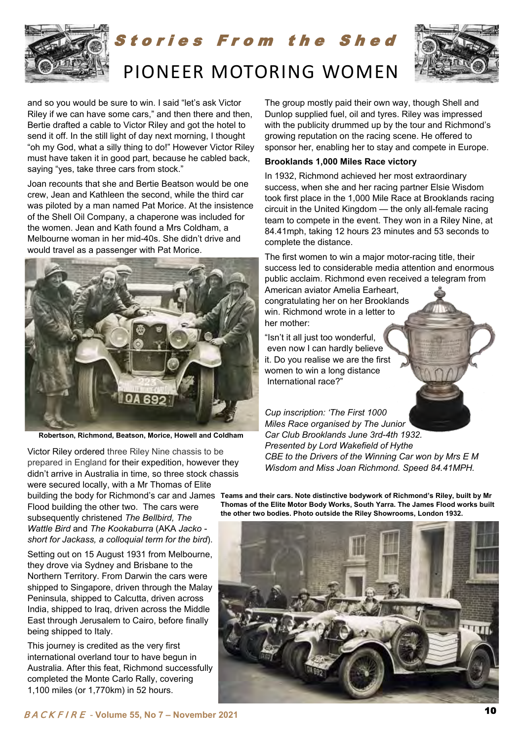

# tories From the Shed PIONEER MOTORING WOMEN



and so you would be sure to win. I said "let's ask Victor Riley if we can have some cars," and then there and then, Bertie drafted a cable to Victor Riley and got the hotel to send it off. In the still light of day next morning, I thought "oh my God, what a silly thing to do!" However Victor Riley must have taken it in good part, because he cabled back, saying "yes, take three cars from stock."

Joan recounts that she and Bertie Beatson would be one crew, Jean and Kathleen the second, while the third car was piloted by a man named Pat Morice. At the insistence of the Shell Oil Company, a chaperone was included for the women. Jean and Kath found a Mrs Coldham, a Melbourne woman in her mid-40s. She didn't drive and would travel as a passenger with Pat Morice.



**Robertson, Richmond, Beatson, Morice, Howell and Coldham**

Victor Riley ordered three Riley Nine chassis to be prepared in England for their expedition, however they didn't arrive in Australia in time, so three stock chassis were secured locally, with a Mr Thomas of Elite

Flood building the other two. The cars were subsequently christened *The Bellbird, The Wattle Bird* and *The Kookaburra* (AKA *Jacko short for Jackass, a colloquial term for the bird*).

Setting out on 15 August 1931 from Melbourne, they drove via Sydney and Brisbane to the Northern Territory. From Darwin the cars were shipped to Singapore, driven through the Malay Peninsula, shipped to Calcutta, driven across India, shipped to Iraq, driven across the Middle East through Jerusalem to Cairo, before finally being shipped to Italy.

This journey is credited as the very first international overland tour to have begun in Australia. After this feat, Richmond successfully completed the Monte Carlo Rally, covering 1,100 miles (or 1,770km) in 52 hours.

The group mostly paid their own way, though Shell and Dunlop supplied fuel, oil and tyres. Riley was impressed with the publicity drummed up by the tour and Richmond's growing reputation on the racing scene. He offered to sponsor her, enabling her to stay and compete in Europe.

#### **Brooklands 1,000 Miles Race victory**

In 1932, Richmond achieved her most extraordinary success, when she and her racing partner Elsie Wisdom took first place in the 1,000 Mile Race at Brooklands racing circuit in the United Kingdom — the only all-female racing team to compete in the event. They won in a Riley Nine, at 84.41mph, taking 12 hours 23 minutes and 53 seconds to complete the distance.

The first women to win a major motor-racing title, their success led to considerable media attention and enormous public acclaim. Richmond even received a telegram from

American aviator Amelia Earheart, congratulating her on her Brooklands win. Richmond wrote in a letter to her mother:

"Isn't it all just too wonderful, even now I can hardly believe it. Do you realise we are the first women to win a long distance International race?"

*Cup inscription: 'The First 1000 Miles Race organised by The Junior Car Club Brooklands June 3rd-4th 1932. Presented by Lord Wakefield of Hythe CBE to the Drivers of the Winning Car won by Mrs E M Wisdom and Miss Joan Richmond. Speed 84.41MPH.* 

building the body for Richmond's car and James  $\,$  Teams and their cars. Note distinctive bodywork of Richmond's Riley, built by Mr **Thomas of the Elite Motor Body Works, South Yarra. The James Flood works built the other two bodies. Photo outside the Riley Showrooms, London 1932.** 

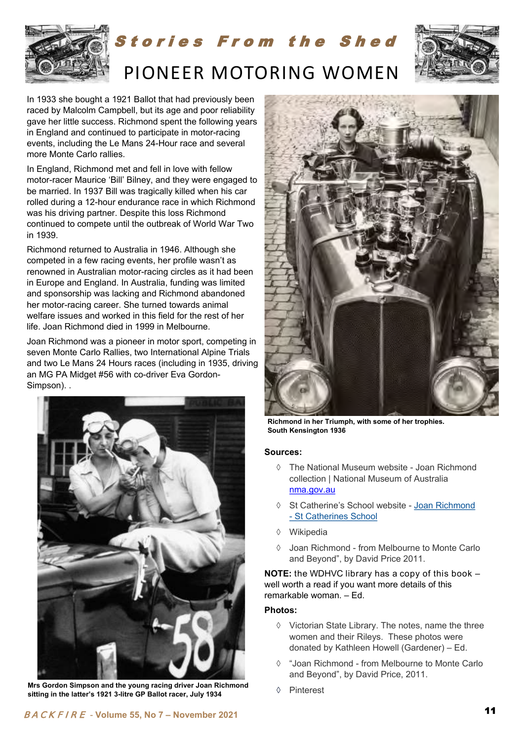

# tories From the Shed PIONEER MOTORING WOMEN



In 1933 she bought a 1921 Ballot that had previously been raced by [Malcolm Campbell,](https://en.wikipedia.org/wiki/Malcolm_Campbell) but its age and poor reliability gave her little success. Richmond spent the following years in England and continued to participate in motor-racing events, including the Le Mans 24-Hour race and several more Monte Carlo rallies.

In England, Richmond met and fell in love with fellow motor-racer Maurice 'Bill' Bilney, and they were engaged to be married. In 1937 Bill was tragically killed when his car rolled during a 12-hour endurance race in which Richmond was his driving partner. Despite this loss Richmond continued to compete until the outbreak of World War Two in 1939.

Richmond returned to Australia in 1946. Although she competed in a few racing events, her profile wasn't as renowned in Australian motor-racing circles as it had been in Europe and England. In Australia, funding was limited and sponsorship was lacking and Richmond abandoned her motor-racing career. She turned towards animal welfare issues and worked in this field for the rest of her life. Joan Richmond died in 1999 in Melbourne.

Joan Richmond was a pioneer in motor sport, competing in seven Monte Carlo Rallies, two International Alpine Trials and two Le Mans 24 Hours races (including in 1935, driving an MG PA Midget #56 with co-driver Eva Gordon-Simpson). .



**Mrs Gordon Simpson and the young racing driver Joan Richmond sitting in the latter's 1921 3-litre GP Ballot racer, July 1934** 



**Richmond in her Triumph, with some of her trophies. South Kensington 1936** 

#### **Sources:**

- The National Museum website Joan Richmond [collection | National Museum of Australia](https://www.nma.gov.au/explore/collection/highlights/joan-richmond)  [nma.gov.au](https://www.nma.gov.au/explore/collection/highlights/joan-richmond)
- St Catherine's School website [Joan Richmond](https://www.stcatherines.net.au/old-girls/joan-richmond/)  [- St Catherines School](https://www.stcatherines.net.au/old-girls/joan-richmond/)
- Wikipedia
- Joan Richmond from Melbourne to Monte Carlo and Beyond", by David Price 2011.

**NOTE:** the WDHVC library has a copy of this book – well worth a read if you want more details of this remarkable woman. – Ed.

#### **Photos:**

- $\Diamond$  Victorian State Library. The notes, name the three women and their Rileys. These photos were donated by Kathleen Howell (Gardener) – Ed.
- "Joan Richmond from Melbourne to Monte Carlo and Beyond", by David Price, 2011.
- Pinterest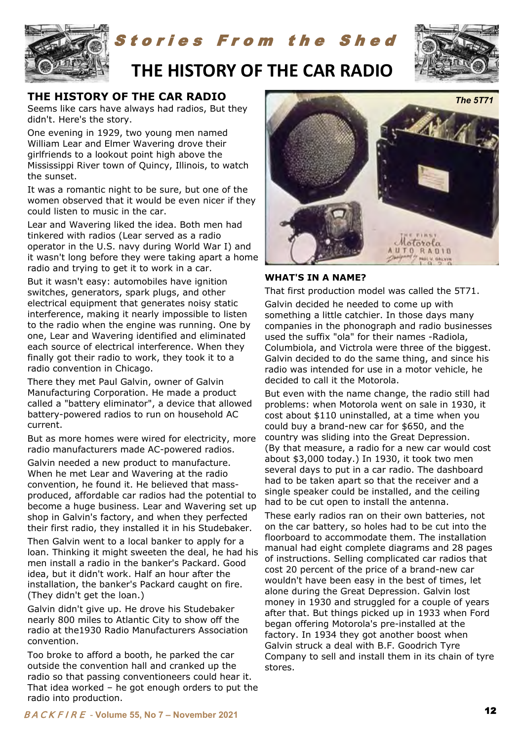

### tories From the Shed



### **THE HISTORY OF THE CAR RADIO**

### **THE HISTORY OF THE CAR RADIO**

Seems like cars have always had radios, But they didn't. Here's the story.

One evening in 1929, two young men named William Lear and Elmer Wavering drove their girlfriends to a lookout point high above the Mississippi River town of Quincy, Illinois, to watch the sunset.

It was a romantic night to be sure, but one of the women observed that it would be even nicer if they could listen to music in the car.

Lear and Wavering liked the idea. Both men had tinkered with radios (Lear served as a radio operator in the U.S. navy during World War I) and it wasn't long before they were taking apart a home radio and trying to get it to work in a car.

But it wasn't easy: automobiles have ignition switches, generators, spark plugs, and other electrical equipment that generates noisy static interference, making it nearly impossible to listen to the radio when the engine was running. One by one, Lear and Wavering identified and eliminated each source of electrical interference. When they finally got their radio to work, they took it to a radio convention in Chicago.

There they met Paul Galvin, owner of Galvin Manufacturing Corporation. He made a product called a "battery eliminator", a device that allowed battery-powered radios to run on household AC current.

But as more homes were wired for electricity, more radio manufacturers made AC-powered radios.

Galvin needed a new product to manufacture. When he met Lear and Wavering at the radio convention, he found it. He believed that massproduced, affordable car radios had the potential to become a huge business. Lear and Wavering set up shop in Galvin's factory, and when they perfected their first radio, they installed it in his Studebaker.

Then Galvin went to a local banker to apply for a loan. Thinking it might sweeten the deal, he had his men install a radio in the banker's Packard. Good idea, but it didn't work. Half an hour after the installation, the banker's Packard caught on fire. (They didn't get the loan.)

Galvin didn't give up. He drove his Studebaker nearly 800 miles to Atlantic City to show off the radio at the1930 Radio Manufacturers Association convention.

Too broke to afford a booth, he parked the car outside the convention hall and cranked up the radio so that passing conventioneers could hear it. That idea worked – he got enough orders to put the radio into production.



#### **WHAT'S IN A NAME?**

That first production model was called the 5T71. Galvin decided he needed to come up with something a little catchier. In those days many companies in the phonograph and radio businesses used the suffix "ola" for their names -Radiola, Columbiola, and Victrola were three of the biggest. Galvin decided to do the same thing, and since his radio was intended for use in a motor vehicle, he decided to call it the Motorola.

But even with the name change, the radio still had problems: when Motorola went on sale in 1930, it cost about \$110 uninstalled, at a time when you could buy a brand-new car for \$650, and the country was sliding into the Great Depression. (By that measure, a radio for a new car would cost about \$3,000 today.) In 1930, it took two men several days to put in a car radio. The dashboard had to be taken apart so that the receiver and a single speaker could be installed, and the ceiling had to be cut open to install the antenna.

These early radios ran on their own batteries, not on the car battery, so holes had to be cut into the floorboard to accommodate them. The installation manual had eight complete diagrams and 28 pages of instructions. Selling complicated car radios that cost 20 percent of the price of a brand-new car wouldn't have been easy in the best of times, let alone during the Great Depression. Galvin lost money in 1930 and struggled for a couple of years after that. But things picked up in 1933 when Ford began offering Motorola's pre-installed at the factory. In 1934 they got another boost when Galvin struck a deal with B.F. Goodrich Tyre Company to sell and install them in its chain of tyre stores.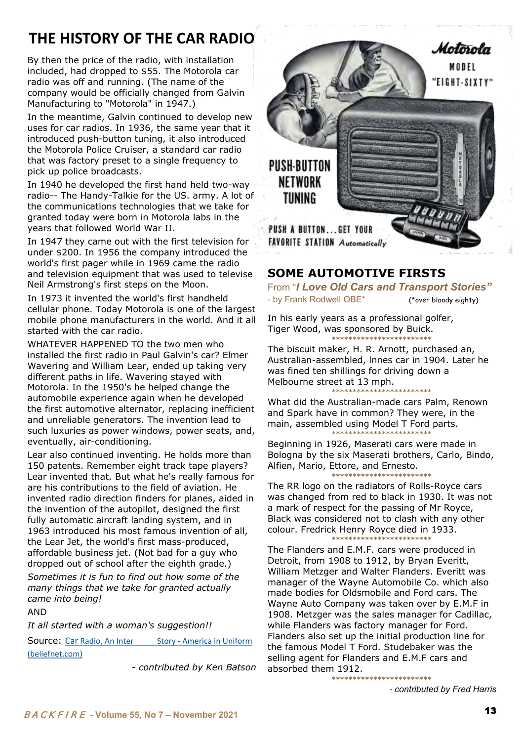### **THE HISTORY OF THE CAR RADIO**

By then the price of the radio, with installation included, had dropped to \$55. The Motorola car radio was off and running. (The name of the company would be officially changed from Galvin Manufacturing to "Motorola" in 1947.)

In the meantime, Galvin continued to develop new uses for car radios. In 1936, the same year that it introduced push-button tuning, it also introduced the Motorola Police Cruiser, a standard car radio that was factory preset to a single frequency to pick up police broadcasts.

In 1940 he developed the first hand held two-way radio-- The Handy-Talkie for the US. army. A lot of the communications technologies that we take for granted today were born in Motorola labs in the years that followed World War II.

In 1947 they came out with the first television for under \$200. In 1956 the company introduced the world's first pager while in 1969 came the radio and television equipment that was used to televise Neil Armstrong's first steps on the Moon.

In 1973 it invented the world's first handheld cellular phone. Today Motorola is one of the largest mobile phone manufacturers in the world. And it all started with the car radio.

WHATEVER HAPPENED TO the two men who installed the first radio in Paul Galvin's car? Elmer Wavering and William Lear, ended up taking very different paths in life. Wavering stayed with Motorola. In the 1950's he helped change the automobile experience again when he developed the first automotive alternator, replacing inefficient and unreliable generators. The invention lead to such luxuries as power windows, power seats, and, eventually, air-conditioning.

Lear also continued inventing. He holds more than 150 patents. Remember eight track tape players? Lear invented that. But what he's really famous for are his contributions to the field of aviation. He invented radio direction finders for planes, aided in the invention of the autopilot, designed the first fully automatic aircraft landing system, and in 1963 introduced his most famous invention of all, the Lear Jet, the world's first mass-produced, affordable business jet. (Not bad for a guy who dropped out of school after the eighth grade.)

*Sometimes it is fun to find out how some of the many things that we take for granted actually came into being!* 

AND

*It all started with a woman's suggestion!!*

Source: Car Radio, An Inter Story - America in Uniform [\(beliefnet.com\)](https://www.beliefnet.com/columnists/americainuniform/2012/02/car-radio-an-interesting-story.html)

*- contributed by Ken Batson* 



### **SOME AUTOMOTIVE FIRSTS**

From "*I Love Old Cars and Transport Stories"*  - by Frank Rodwell OBE\* (\*over bloody eighty)

In his early years as a professional golfer, Tiger Wood, was sponsored by Buick. **\*\*\*\*\*\*\*\*\*\*\*\*\*\*\*\*\*\*\*\*\*\*\*\***

The biscuit maker, H. R. Arnott, purchased an, Australian-assembled, lnnes car in 1904. Later he was fined ten shillings for driving down a Melbourne street at 13 mph.

**\*\*\*\*\*\*\*\*\*\*\*\*\*\*\*\*\*\*\*\*\*\*\*\*** What did the Australian-made cars Palm, Renown and Spark have in common? They were, in the main, assembled using Model T Ford parts.

**\*\*\*\*\*\*\*\*\*\*\*\*\*\*\*\*\*\*\*\*\*\*\*\*** Beginning in 1926, Maserati cars were made in Bologna by the six Maserati brothers, Carlo, Bindo, Alfien, Mario, Ettore, and Ernesto. **\*\*\*\*\*\*\*\*\*\*\*\*\*\*\*\*\*\*\*\*\*\*\*\***

The RR logo on the radiators of Rolls-Royce cars was changed from red to black in 1930. It was not a mark of respect for the passing of Mr Royce, Black was considered not to clash with any other colour. Fredrick Henry Royce died in 1933.

**\*\*\*\*\*\*\*\*\*\*\*\*\*\*\*\*\*\*\*\*\*\*\*\*** The Flanders and E.M.F. cars were produced in Detroit, from 1908 to 1912, by Bryan Everitt, William Metzger and Walter Flanders. Everitt was manager of the Wayne Automobile Co. which also made bodies for Oldsmobile and Ford cars. The Wayne Auto Company was taken over by E.M.F in 1908. Metzger was the sales manager for Cadillac, while Flanders was factory manager for Ford. Flanders also set up the initial production line for the famous Model T Ford. Studebaker was the selling agent for Flanders and E.M.F cars and absorbed them 1912.

**\*\*\*\*\*\*\*\*\*\*\*\*\*\*\*\*\*\*\*\*\*\*\*\***

*- contributed by Fred Harris*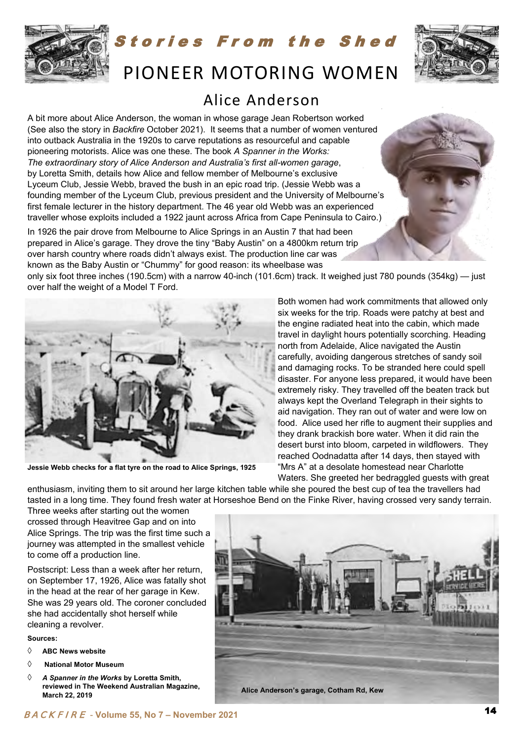

tories From the Shed

### PIONEER MOTORING WOMEN

### Alice Anderson

A bit more about Alice Anderson, the woman in whose garage Jean Robertson worked (See also the story in *Backfire* October 2021). It seems that a number of women ventured into outback Australia in the 1920s to carve reputations as resourceful and capable pioneering motorists. Alice was one these. The book *A Spanner in the Works: The extraordinary story of Alice Anderson and Australia's first all-women garage*, by Loretta Smith, details how Alice and fellow member of Melbourne's exclusive Lyceum Club, Jessie Webb, braved the bush in an epic road trip. (Jessie Webb was a founding member of the Lyceum Club, previous president and the University of Melbourne's first female lecturer in the history department. The 46 year old Webb was an experienced traveller whose exploits included a 1922 jaunt across Africa from Cape Peninsula to Cairo.)

In 1926 the pair drove from Melbourne to Alice Springs in an Austin 7 that had been prepared in Alice's garage. They drove the tiny "Baby Austin" on a 4800km return trip over harsh country where roads didn't always exist. The production line car was known as the Baby Austin or "Chummy" for good reason: its wheelbase was

only six foot three inches (190.5cm) with a narrow 40-inch (101.6cm) track. It weighed just 780 pounds (354kg) — just over half the weight of a Model T Ford.



**Jessie Webb checks for a flat tyre on the road to Alice Springs, 1925** 

Both women had work commitments that allowed only six weeks for the trip. Roads were patchy at best and the engine radiated heat into the cabin, which made travel in daylight hours potentially scorching. Heading north from Adelaide, Alice navigated the Austin carefully, avoiding dangerous stretches of sandy soil and damaging rocks. To be stranded here could spell disaster. For anyone less prepared, it would have been extremely risky. They travelled off the beaten track but always kept the Overland Telegraph in their sights to aid navigation. They ran out of water and were low on food. Alice used her rifle to augment their supplies and they drank brackish bore water. When it did rain the desert burst into bloom, carpeted in wildflowers. They reached Oodnadatta after 14 days, then stayed with "Mrs A" at a desolate homestead near Charlotte Waters. She greeted her bedraggled guests with great

enthusiasm, inviting them to sit around her large kitchen table while she poured the best cup of tea the travellers had tasted in a long time. They found fresh water at Horseshoe Bend on the Finke River, having crossed very sandy terrain.

Three weeks after starting out the women crossed through Heavitree Gap and on into Alice Springs. The trip was the first time such a journey was attempted in the smallest vehicle to come off a production line.

Postscript: Less than a week after her return, on September 17, 1926, Alice was fatally shot in the head at the rear of her garage in Kew. She was 29 years old. The coroner concluded she had accidentally shot herself while cleaning a revolver.

**Sources:** 

- **ABC News website**
- **National Motor Museum**
- *A Spanner in the Works* **by Loretta Smith, reviewed in The Weekend Australian Magazine, March 22, 2019**

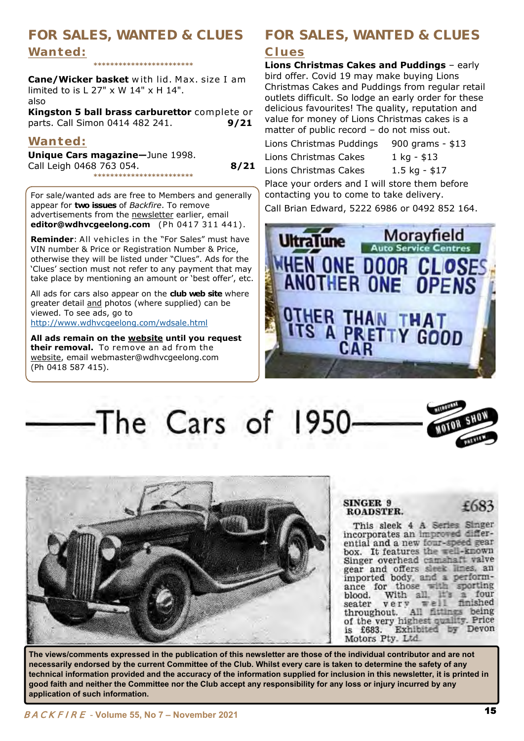### **FOR SALES, WANTED & CLUES FOR SALES, WANTED & CLUES**  Wanted:

**\*\*\*\*\*\*\*\*\*\*\*\*\*\*\*\*\*\*\*\*\*\*\*\***

**Cane/Wicker basket** with lid. Max. size I am limited to is L 27" x W 14" x H 14". also

**Kingston 5 ball brass carburettor** complete or parts. Call Simon 0414 482 241. **9/21** 

### Wanted:

**Unique Cars magazine—**June 1998. Call Leigh 0468 763 054. **8/21 \*\*\*\*\*\*\*\*\*\*\*\*\*\*\*\*\*\*\*\*\*\*\*\***

For sale/wanted ads are free to Members and generally appear for **two issues** of *Backfire*. To remove advertisements from the newsletter earlier, email **editor@wdhvcgeelong.com** (Ph 0417 311 441).

**Reminder**: All vehicles in the "For Sales" must have VIN number & Price or Registration Number & Price, otherwise they will be listed under "Clues". Ads for the 'Clues' section must not refer to any payment that may take place by mentioning an amount or 'best offer', etc.

All ads for cars also appear on the **club web site** where greater detail and photos (where supplied) can be viewed. To see ads, go to <http://www.wdhvcgeelong.com/wdsale.html>

**All ads remain on the website until you request their removal.** To remove an ad from the website, email webmaster@wdhvcgeelong.com (Ph 0418 587 415).

### **C l u e s**

**Lions Christmas Cakes and Puddings** – early bird offer. Covid 19 may make buying Lions Christmas Cakes and Puddings from regular retail outlets difficult. So lodge an early order for these delicious favourites! The quality, reputation and value for money of Lions Christmas cakes is a matter of public record – do not miss out.

Lions Christmas Puddings 900 grams - \$13 Lions Christmas Cakes 1 kg - \$13 Lions Christmas Cakes 1.5 kg - \$17

Place your orders and I will store them before contacting you to come to take delivery.

Call Brian Edward, 5222 6986 or 0492 852 164.



The Cars of 1950



**The views/comments expressed in the publication of this newsletter are those of the individual contributor and are not necessarily endorsed by the current Committee of the Club. Whilst every care is taken to determine the safety of any technical information provided and the accuracy of the information supplied for inclusion in this newsletter, it is printed in good faith and neither the Committee nor the Club accept any responsibility for any loss or injury incurred by any application of such information.**